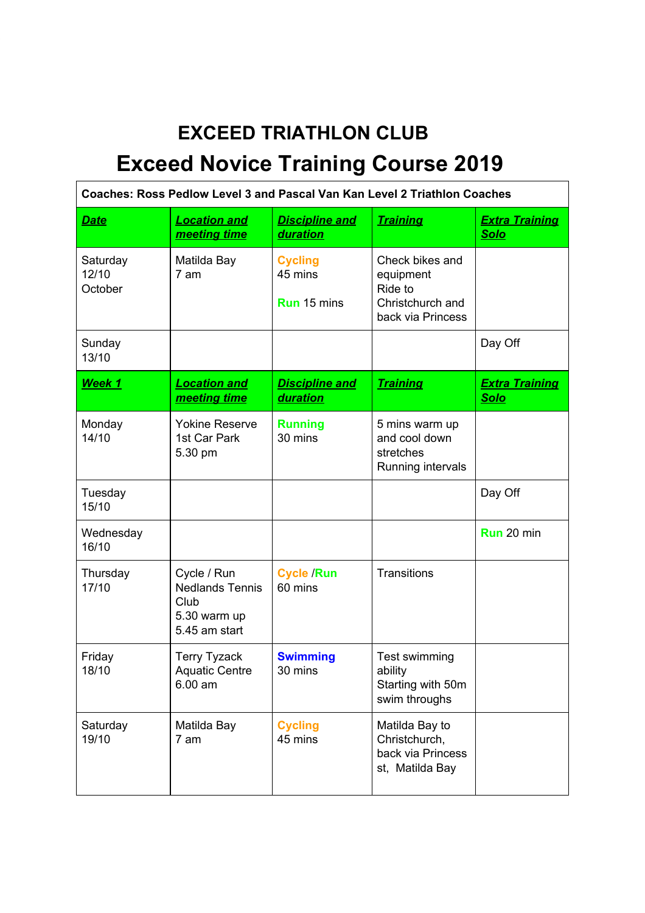## **EXCEED TRIATHLON CLUB Exceed Novice Training Course 2019**

| Coaches: Ross Pedlow Level 3 and Pascal Van Kan Level 2 Triathlon Coaches |                                                                                |                                                 |                                                                                  |                                      |
|---------------------------------------------------------------------------|--------------------------------------------------------------------------------|-------------------------------------------------|----------------------------------------------------------------------------------|--------------------------------------|
| Date                                                                      | <b>Location and</b><br>meeting time                                            | <b>Discipline and</b><br><b>duration</b>        | <b>Training</b>                                                                  | <b>Extra Training</b><br><b>Solo</b> |
| Saturday<br>12/10<br>October                                              | Matilda Bay<br>7 am                                                            | <b>Cycling</b><br>45 mins<br><b>Run</b> 15 mins | Check bikes and<br>equipment<br>Ride to<br>Christchurch and<br>back via Princess |                                      |
| Sunday<br>13/10                                                           |                                                                                |                                                 |                                                                                  | Day Off                              |
| Week 1                                                                    | <b>Location and</b><br>meeting time                                            | <b>Discipline and</b><br><b>duration</b>        | <b>Training</b>                                                                  | <b>Extra Training</b><br><b>Solo</b> |
| Monday<br>14/10                                                           | <b>Yokine Reserve</b><br>1st Car Park<br>5.30 pm                               | <b>Running</b><br>30 mins                       | 5 mins warm up<br>and cool down<br>stretches<br>Running intervals                |                                      |
| Tuesday<br>15/10                                                          |                                                                                |                                                 |                                                                                  | Day Off                              |
| Wednesday<br>16/10                                                        |                                                                                |                                                 |                                                                                  | Run 20 min                           |
| Thursday<br>17/10                                                         | Cycle / Run<br><b>Nedlands Tennis</b><br>Club<br>5.30 warm up<br>5.45 am start | <b>Cycle /Run</b><br>60 mins                    | Transitions                                                                      |                                      |
| Friday<br>18/10                                                           | <b>Terry Tyzack</b><br><b>Aquatic Centre</b><br>$6.00$ am                      | <b>Swimming</b><br>30 mins                      | Test swimming<br>ability<br>Starting with 50m<br>swim throughs                   |                                      |
| Saturday<br>19/10                                                         | Matilda Bay<br>7 am                                                            | <b>Cycling</b><br>45 mins                       | Matilda Bay to<br>Christchurch,<br>back via Princess<br>st, Matilda Bay          |                                      |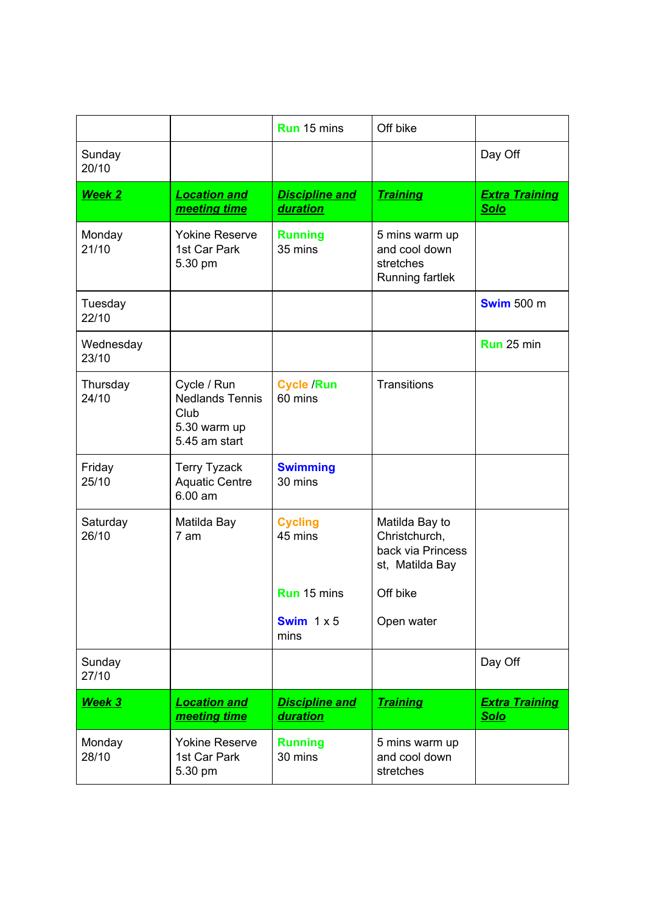|                    |                                                                                | <b>Run</b> 15 mins                       | Off bike                                                                |                                      |
|--------------------|--------------------------------------------------------------------------------|------------------------------------------|-------------------------------------------------------------------------|--------------------------------------|
| Sunday<br>20/10    |                                                                                |                                          |                                                                         | Day Off                              |
| <b>Week 2</b>      | <b>Location and</b><br>meeting time                                            | <b>Discipline and</b><br>duration        | <b>Training</b>                                                         | <b>Extra Training</b><br><b>Solo</b> |
| Monday<br>21/10    | <b>Yokine Reserve</b><br>1st Car Park<br>5.30 pm                               | <b>Running</b><br>35 mins                | 5 mins warm up<br>and cool down<br>stretches<br>Running fartlek         |                                      |
| Tuesday<br>22/10   |                                                                                |                                          |                                                                         | <b>Swim 500 m</b>                    |
| Wednesday<br>23/10 |                                                                                |                                          |                                                                         | Run 25 min                           |
| Thursday<br>24/10  | Cycle / Run<br><b>Nedlands Tennis</b><br>Club<br>5.30 warm up<br>5.45 am start | <b>Cycle /Run</b><br>60 mins             | Transitions                                                             |                                      |
| Friday<br>25/10    | <b>Terry Tyzack</b><br><b>Aquatic Centre</b><br>$6.00$ am                      | <b>Swimming</b><br>30 mins               |                                                                         |                                      |
| Saturday<br>26/10  | Matilda Bay<br>7 am                                                            | <b>Cycling</b><br>45 mins                | Matilda Bay to<br>Christchurch,<br>back via Princess<br>st, Matilda Bay |                                      |
|                    |                                                                                | <b>Run</b> 15 mins                       | Off bike                                                                |                                      |
|                    |                                                                                | Swim $1 \times 5$<br>mins                | Open water                                                              |                                      |
| Sunday<br>27/10    |                                                                                |                                          |                                                                         | Day Off                              |
| Week 3             | <b>Location and</b><br>meeting time                                            | <b>Discipline and</b><br><b>duration</b> | <b>Training</b>                                                         | <b>Extra Training</b><br><u>Solo</u> |
| Monday<br>28/10    | <b>Yokine Reserve</b><br>1st Car Park<br>5.30 pm                               | <b>Running</b><br>30 mins                | 5 mins warm up<br>and cool down<br>stretches                            |                                      |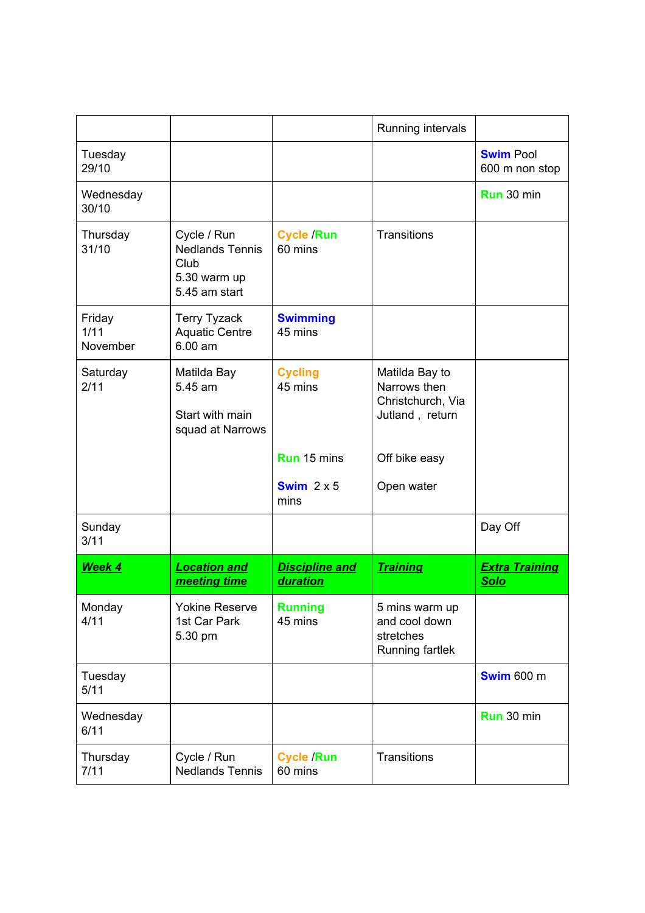|                            |                                                                                |                                          | Running intervals                                                      |                                      |
|----------------------------|--------------------------------------------------------------------------------|------------------------------------------|------------------------------------------------------------------------|--------------------------------------|
| Tuesday<br>29/10           |                                                                                |                                          |                                                                        | <b>Swim Pool</b><br>600 m non stop   |
| Wednesday<br>30/10         |                                                                                |                                          |                                                                        | Run 30 min                           |
| Thursday<br>31/10          | Cycle / Run<br><b>Nedlands Tennis</b><br>Club<br>5.30 warm up<br>5.45 am start | <b>Cycle /Run</b><br>60 mins             | Transitions                                                            |                                      |
| Friday<br>1/11<br>November | <b>Terry Tyzack</b><br><b>Aquatic Centre</b><br>$6.00$ am                      | <b>Swimming</b><br>45 mins               |                                                                        |                                      |
| Saturday<br>2/11           | Matilda Bay<br>5.45 am<br>Start with main<br>squad at Narrows                  | <b>Cycling</b><br>45 mins                | Matilda Bay to<br>Narrows then<br>Christchurch, Via<br>Jutland, return |                                      |
|                            |                                                                                | <b>Run</b> 15 mins                       | Off bike easy                                                          |                                      |
|                            |                                                                                | Swim $2 \times 5$<br>mins                | Open water                                                             |                                      |
| Sunday<br>3/11             |                                                                                |                                          |                                                                        | Day Off                              |
| Week 4                     | <b>Location and</b><br>meeting time                                            | <b>Discipline and</b><br><b>duration</b> | <b>Training</b>                                                        | <b>Extra Training</b><br><b>Solo</b> |
| Monday<br>4/11             | <b>Yokine Reserve</b><br>1st Car Park<br>5.30 pm                               | <b>Running</b><br>45 mins                | 5 mins warm up<br>and cool down<br>stretches<br>Running fartlek        |                                      |
| Tuesday<br>5/11            |                                                                                |                                          |                                                                        | <b>Swim 600 m</b>                    |
| Wednesday<br>6/11          |                                                                                |                                          |                                                                        | Run 30 min                           |
| Thursday<br>7/11           | Cycle / Run<br><b>Nedlands Tennis</b>                                          | <b>Cycle /Run</b><br>60 mins             | Transitions                                                            |                                      |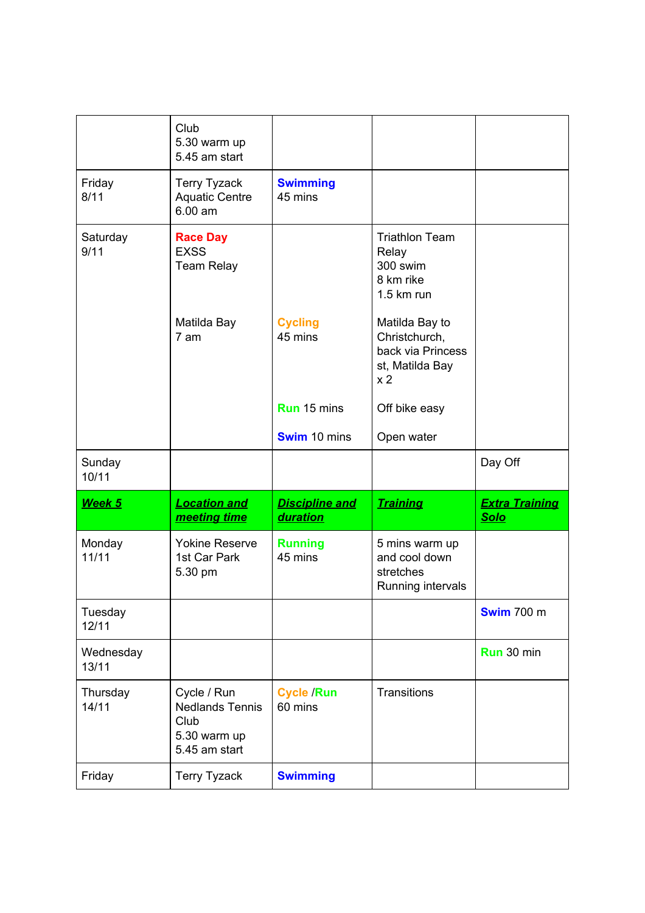|                    | Club<br>5.30 warm up<br>5.45 am start                                          |                                   |                                                                                           |                                      |
|--------------------|--------------------------------------------------------------------------------|-----------------------------------|-------------------------------------------------------------------------------------------|--------------------------------------|
| Friday<br>8/11     | <b>Terry Tyzack</b><br><b>Aquatic Centre</b><br>6.00 am                        | <b>Swimming</b><br>45 mins        |                                                                                           |                                      |
| Saturday<br>9/11   | <b>Race Day</b><br><b>EXSS</b><br><b>Team Relay</b>                            |                                   | <b>Triathlon Team</b><br>Relay<br>300 swim<br>8 km rike<br>$1.5$ km run                   |                                      |
|                    | Matilda Bay<br>7 am                                                            | <b>Cycling</b><br>45 mins         | Matilda Bay to<br>Christchurch,<br>back via Princess<br>st, Matilda Bay<br>x <sub>2</sub> |                                      |
|                    |                                                                                | <b>Run</b> 15 mins                | Off bike easy                                                                             |                                      |
|                    |                                                                                | <b>Swim</b> 10 mins               | Open water                                                                                |                                      |
|                    |                                                                                |                                   |                                                                                           |                                      |
| Sunday<br>10/11    |                                                                                |                                   |                                                                                           | Day Off                              |
| Week 5             | <b>Location and</b><br>meeting time                                            | Discipline and<br><b>duration</b> | <b>Training</b>                                                                           | <b>Extra Training</b><br><b>Solo</b> |
| Monday<br>11/11    | <b>Yokine Reserve</b><br>1st Car Park<br>5.30 pm                               | <b>Running</b><br>45 mins         | 5 mins warm up<br>and cool down<br>stretches<br>Running intervals                         |                                      |
| Tuesday<br>12/11   |                                                                                |                                   |                                                                                           | <b>Swim 700 m</b>                    |
| Wednesday<br>13/11 |                                                                                |                                   |                                                                                           | Run 30 min                           |
| Thursday<br>14/11  | Cycle / Run<br><b>Nedlands Tennis</b><br>Club<br>5.30 warm up<br>5.45 am start | <b>Cycle /Run</b><br>60 mins      | Transitions                                                                               |                                      |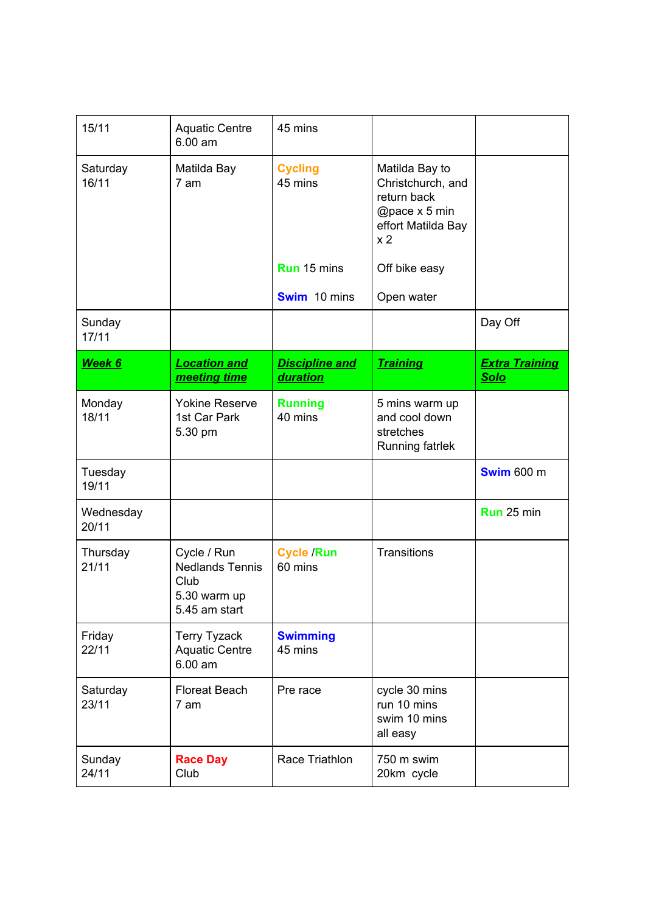| 15/11              | <b>Aquatic Centre</b><br>6.00 am                                               | 45 mins                                  |                                                                                                             |                                      |
|--------------------|--------------------------------------------------------------------------------|------------------------------------------|-------------------------------------------------------------------------------------------------------------|--------------------------------------|
| Saturday<br>16/11  | Matilda Bay<br>7 am                                                            | <b>Cycling</b><br>45 mins                | Matilda Bay to<br>Christchurch, and<br>return back<br>@pace x 5 min<br>effort Matilda Bay<br>x <sub>2</sub> |                                      |
|                    |                                                                                | <b>Run</b> 15 mins                       | Off bike easy                                                                                               |                                      |
|                    |                                                                                | <b>Swim</b> 10 mins                      | Open water                                                                                                  |                                      |
| Sunday<br>17/11    |                                                                                |                                          |                                                                                                             | Day Off                              |
| Week 6             | <b>Location and</b><br>meeting time                                            | <b>Discipline and</b><br><b>duration</b> | <b>Training</b>                                                                                             | <b>Extra Training</b><br><b>Solo</b> |
| Monday<br>18/11    | <b>Yokine Reserve</b><br>1st Car Park<br>5.30 pm                               | <b>Running</b><br>40 mins                | 5 mins warm up<br>and cool down<br>stretches<br><b>Running fatrlek</b>                                      |                                      |
| Tuesday<br>19/11   |                                                                                |                                          |                                                                                                             | <b>Swim 600 m</b>                    |
| Wednesday<br>20/11 |                                                                                |                                          |                                                                                                             | Run 25 min                           |
| Thursday<br>21/11  | Cycle / Run<br><b>Nedlands Tennis</b><br>Club<br>5.30 warm up<br>5.45 am start | <b>Cycle /Run</b><br>60 mins             | Transitions                                                                                                 |                                      |
| Friday<br>22/11    | <b>Terry Tyzack</b><br><b>Aquatic Centre</b><br>$6.00$ am                      | <b>Swimming</b><br>45 mins               |                                                                                                             |                                      |
| Saturday<br>23/11  | <b>Floreat Beach</b><br>7 am                                                   | Pre race                                 | cycle 30 mins<br>run 10 mins<br>swim 10 mins<br>all easy                                                    |                                      |
| Sunday<br>24/11    | <b>Race Day</b><br>Club                                                        | Race Triathlon                           | 750 m swim<br>20km cycle                                                                                    |                                      |